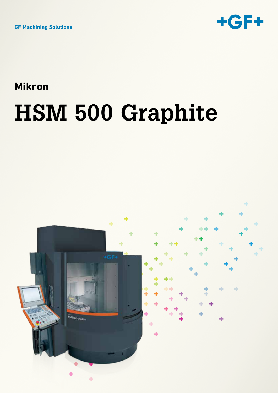

## **Mikron HSM 500 Graphite**

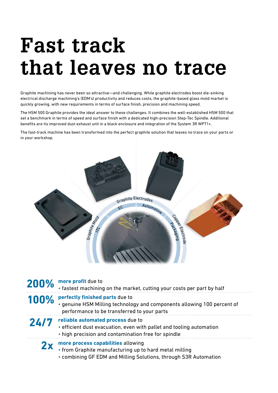# **Fast track that leaves no trace**

Graphite machining has never been so attractive—and challenging. While graphite electrodes boost die-sinking electrical discharge machining's (EDM's) productivity and reduces costs, the graphite-based glass mold market is quickly growing, with new requirements in terms of surface finish, precision and machining speed.

The HSM 500 Graphite provides the ideal answer to these challenges. It combines the well-established HSM 500 that set a benchmark in terms of speed and surface finish with a dedicated high-precision Step-Tec Spindle. Additional benefits are its improved dust exhaust unit in a black enclosure and integration of the System 3R WPT1+.

The fast-track machine has been transformed into the perfect graphite solution that leaves no trace on your parts or in your workshop.



| 200% | more profit due to<br>• fastest machining on the market, cutting your costs per part by half                                                                     |
|------|------------------------------------------------------------------------------------------------------------------------------------------------------------------|
| 100% | perfectly finished parts due to<br>· genuine HSM Milling technology and components allowing 100 percent of<br>performance to be transferred to your parts        |
| 24/7 | reliable automated process due to<br>• efficient dust evacuation, even with pallet and tooling automation<br>. high precision and contamination free for spindle |
| 2x   | more process capabilities allowing<br>• from Graphite manufacturing up to hard metal milling<br>• combining GF EDM and Milling Solutions, through S3R Automation |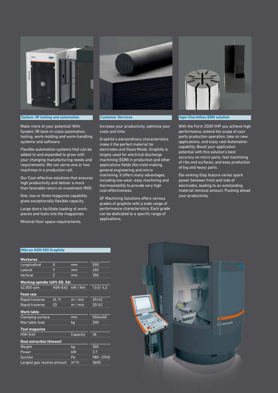

#### **System 3R tooling and automation**

Make more of your potential! With System 3R best-in-class automation, tooling, work-holding and work-handling systems and software.

Flexible automation systems that can be added to and expanded to grow with your changing manufacturing needs and requirements. We can serve one or two machines in a production cell.

Our Cost-effective solutions that ensures high productivity and deliver a more than favorable return on investment (ROI).

One, two or three magazine capability gives exceptionally flexible capacity.

Large doors facilitate loading of workpieces and tools into the magazines.

Minimal floor space requirements.



#### **Customer Services**

Increase your productivity, optimize your costs and time

Graphite's extraordinary characteristics make it the perfect material for electrodes and Glass Molds. Graphite is largely used for electrical discharge machining (EDM) in production and other applications fields like mold making, general engineering and micro machining. It offers many advantages, including low wear, easy machining and thermostability to provide very high cost-effectiveness.

GF Machining Solutions offers various grades of graphite with a wide range of performance characteristics. Each grade can be dedicated to a specific range of applications.



### **Agie Charmilles EDM solution**

With the Form 2000 VHP you achieve high performance, extend the scope of your parts production operation, take on new applications, and enjoy vast Automation capability. Boost your application potential with this solution's best accuracy on micro parts, fast machining of ribs and surfaces, and easy production of big and heavy parts.

Die-sinking iGap feature varies spark power between front and side of electrodes, leading to an outstanding material removal amount. Pushing ahead your productivity.

#### **Mikron HSM 500 Graphite**

| Workarea                       |         |          |              |  |
|--------------------------------|---------|----------|--------------|--|
| Longitudinal                   | X       | mm       | 500          |  |
| Lateral                        | Ÿ       | mm       | 450          |  |
| Vertical                       | Z       | mm       | 350          |  |
| Working spindle (40% ED, S6)   |         |          |              |  |
| 42,000 rpm                     | HSK-E40 | kW / Nm  | 13.0/4.2     |  |
| <b>Feed rate</b>               |         |          |              |  |
| Rapid traverse                 | (X, Y)  | m / min  | 20/42        |  |
| Rapid traverse                 | (Z)     | m / min  | 20/42        |  |
| Work table                     |         |          |              |  |
| <b>Clamping surface</b>        |         | mm       | 550x450      |  |
| Max table load                 | kg      | 200      |              |  |
| <b>Tool magazine</b>           |         |          |              |  |
| HSK-E40                        |         | Capacity | 36           |  |
| <b>Dust extraction (Amano)</b> |         |          |              |  |
| Weight                         |         | kg       | 300          |  |
| Power                          |         | kW       | 3.7          |  |
| <b>Suction</b>                 |         | Pa       | $980 - 2940$ |  |
| Largest gas receive amount     | $m^3/h$ | 3600     |              |  |